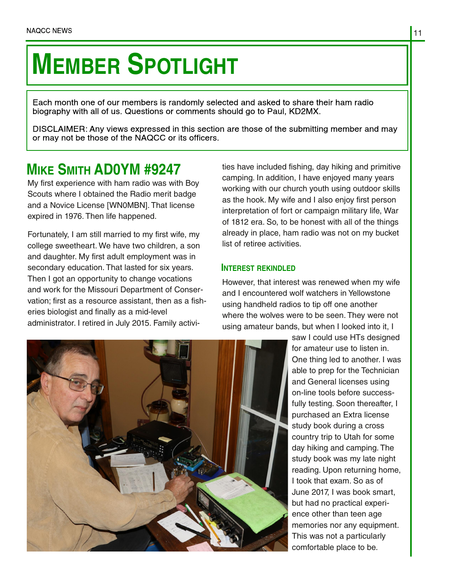# **MEMBER SPOTLIGHT**

Each month one of our members is randomly selected and asked to share their ham radio biography with all of us. Questions or comments should go to Paul, KD2MX.

DISCLAIMER: Any views expressed in this section are those of the submitting member and may or may not be those of the NAQCC or its officers.

# **MIKE SMITH AD0YM #9247**

My first experience with ham radio was with Boy Scouts where I obtained the Radio merit badge and a Novice License [WN0MBN]. That license expired in 1976. Then life happened.

Fortunately, I am still married to my first wife, my college sweetheart. We have two children, a son and daughter. My first adult employment was in secondary education. That lasted for six years. Then I got an opportunity to change vocations and work for the Missouri Department of Conser‐ vation; first as a resource assistant, then as a fish‐ eries biologist and finally as a mid-level administrator. I retired in July 2015. Family activi‐

ties have included fishing, day hiking and primitive camping. In addition, I have enjoyed many years working with our church youth using outdoor skills as the hook. My wife and I also enjoy first person interpretation of fort or campaign military life, War of 1812 era. So, to be honest with all of the things already in place, ham radio was not on my bucket list of retiree activities.

# **INTEREST REKINDLED**

However, that interest was renewed when my wife and I encountered wolf watchers in Yellowstone using handheld radios to tip off one another where the wolves were to be seen. They were not using amateur bands, but when I looked into it, I

saw I could use HTs designed for amateur use to listen in. One thing led to another. I was able to prep for the Technician and General licenses using on-line tools before success‐ fully testing. Soon thereafter, I purchased an Extra license study book during a cross country trip to Utah for some day hiking and camping. The study book was my late night reading. Upon returning home, I took that exam. So as of June 2017, I was book smart, but had no practical experi‐ ence other than teen age memories nor any equipment. This was not a particularly comfortable place to be.

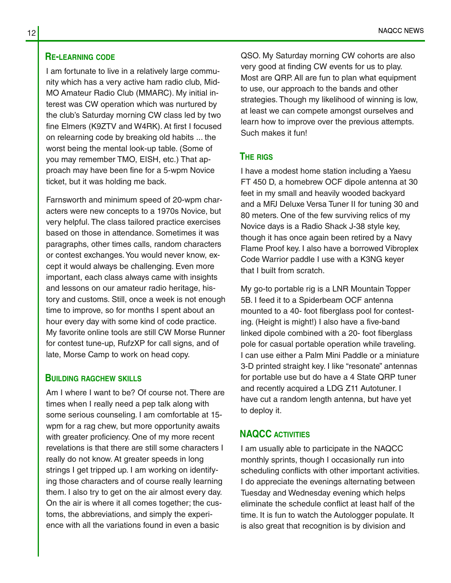#### **RE-LEARNING CODE**

I am fortunate to live in a relatively large commu‐ nity which has a very active ham radio club, Mid-MO Amateur Radio Club (MMARC). My initial in‐ terest was CW operation which was nurtured by the club's Saturday morning CW class led by two fine Elmers (K9ZTV and W4RK). At first I focused on relearning code by breaking old habits ... the worst being the mental look-up table. (Some of you may remember TMO, EISH, etc.) That ap‐ proach may have been fine for a 5-wpm Novice ticket, but it was holding me back.

Farnsworth and minimum speed of 20-wpm char‐ acters were new concepts to a 1970s Novice, but very helpful. The class tailored practice exercises based on those in attendance. Sometimes it was paragraphs, other times calls, random characters or contest exchanges.You would never know, ex‐ cept it would always be challenging. Even more important, each class always came with insights and lessons on our amateur radio heritage, his‐ tory and customs. Still, once a week is not enough time to improve, so for months I spent about an hour every day with some kind of code practice. My favorite online tools are still CW Morse Runner for contest tune-up, RufzXP for call signs, and of late, Morse Camp to work on head copy.

#### **BUILDING RAGCHEW SKILLS**

Am I where I want to be? Of course not. There are times when I really need a pep talk along with some serious counseling. I am comfortable at 15 wpm for a rag chew, but more opportunity awaits with greater proficiency. One of my more recent revelations is that there are still some characters I really do not know. At greater speeds in long strings I get tripped up. I am working on identify‐ ing those characters and of course really learning them. I also try to get on the air almost every day. On the air is where it all comes together; the cus‐ toms, the abbreviations, and simply the experi‐ ence with all the variations found in even a basic

QSO. My Saturday morning CW cohorts are also very good at finding CW events for us to play. Most are QRP. All are fun to plan what equipment to use, our approach to the bands and other strategies. Though my likelihood of winning is low, at least we can compete amongst ourselves and learn how to improve over the previous attempts. Such makes it fun!

#### **THE RIGS**

I have a modest home station including a Yaesu FT 450 D, a homebrew OCF dipole antenna at 30 feet in my small and heavily wooded backyard and a MFJ Deluxe Versa Tuner II for tuning 30 and 80 meters. One of the few surviving relics of my Novice days is a Radio Shack J-38 style key, though it has once again been retired by a Navy Flame Proof key. I also have a borrowed Vibroplex Code Warrior paddle I use with a K3NG keyer that I built from scratch.

My go-to portable rig is a LNR Mountain Topper 5B. I feed it to a Spiderbeam OCF antenna mounted to a 40- foot fiberglass pool for contest‐ ing. (Height is might!) I also have a five-band linked dipole combined with a 20- foot fiberglass pole for casual portable operation while traveling. I can use either a Palm Mini Paddle or a miniature 3-D printed straight key. I like "resonate" antennas for portable use but do have a 4 State QRP tuner and recently acquired a LDG Z11 Autotuner. I have cut a random length antenna, but have yet to deploy it.

# **NAQCC ACTIVITIES**

I am usually able to participate in the NAQCC monthly sprints, though I occasionally run into scheduling conflicts with other important activities. I do appreciate the evenings alternating between Tuesday and Wednesday evening which helps eliminate the schedule conflict at least half of the time. It is fun to watch the Autologger populate. It is also great that recognition is by division and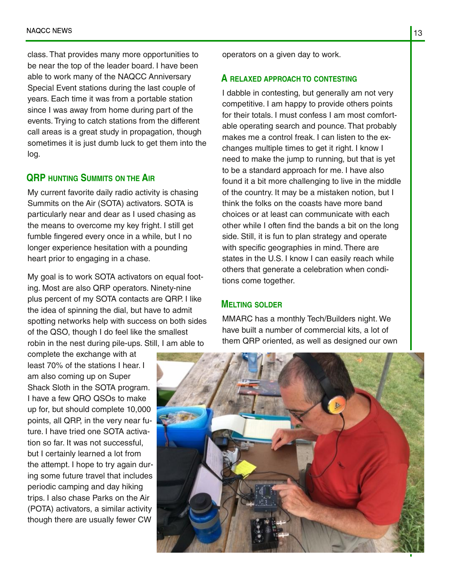class. That provides many more opportunities to be near the top of the leader board. I have been able to work many of the NAQCC Anniversary Special Event stations during the last couple of years. Each time it was from a portable station since I was away from home during part of the events. Trying to catch stations from the different call areas is a great study in propagation, though sometimes it is just dumb luck to get them into the log.

# **QRP HUNTING SUMMITS ON THE AIR**

My current favorite daily radio activity is chasing Summits on the Air (SOTA) activators. SOTA is particularly near and dear as I used chasing as the means to overcome my key fright. I still get fumble fingered every once in a while, but I no longer experience hesitation with a pounding heart prior to engaging in a chase.

My goal is to work SOTA activators on equal foot‐ ing. Most are also QRP operators. Ninety-nine plus percent of my SOTA contacts are QRP. I like the idea of spinning the dial, but have to admit spotting networks help with success on both sides of the QSO, though I do feel like the smallest robin in the nest during pile-ups. Still, I am able to

complete the exchange with at least 70% of the stations I hear. I am also coming up on Super Shack Sloth in the SOTA program. I have a few QRO QSOs to make up for, but should complete 10,000 points, all QRP, in the very near fu‐ ture. I have tried one SOTA activa‐ tion so far. It was not successful, but I certainly learned a lot from the attempt. I hope to try again dur‐ ing some future travel that includes periodic camping and day hiking trips. I also chase Parks on the Air (POTA) activators, a similar activity though there are usually fewer CW

operators on a given day to work.

#### **A RELAXED APPROACH TO CONTESTING**

I dabble in contesting, but generally am not very competitive. I am happy to provide others points for their totals. I must confess I am most comfort‐ able operating search and pounce. That probably makes me a control freak. I can listen to the exchanges multiple times to get it right. I know I need to make the jump to running, but that is yet to be a standard approach for me. I have also found it a bit more challenging to live in the middle of the country. It may be a mistaken notion, but I think the folks on the coasts have more band choices or at least can communicate with each other while I often find the bands a bit on the long side. Still, it is fun to plan strategy and operate with specific geographies in mind. There are states in the U.S. I know I can easily reach while others that generate a celebration when condi‐ tions come together.

### **MELTING SOLDER**

MMARC has a monthly Tech/Builders night. We have built a number of commercial kits, a lot of them QRP oriented, as well as designed our own